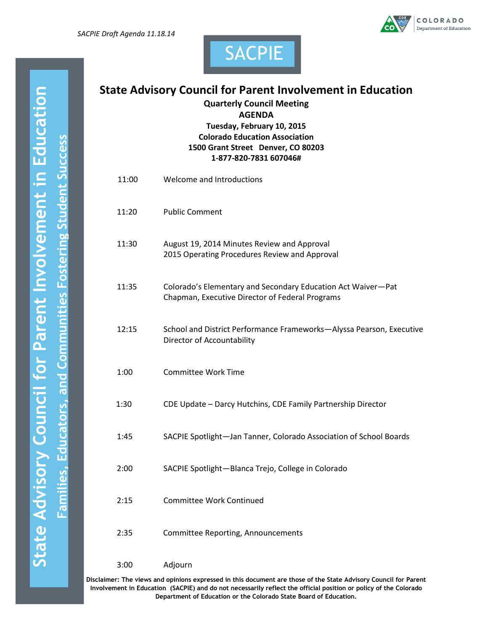



# **State Advisory Council for Parent Involvement in Education**

SACPIE

**Quarterly Council Meeting**

**AGENDA**

**Tuesday, February 10, 2015 Colorado Education Association 1500 Grant Street Denver, CO 80203 1-877-820-7831 607046#**

| 11:00 | Welcome and Introductions                                                                                       |
|-------|-----------------------------------------------------------------------------------------------------------------|
| 11:20 | <b>Public Comment</b>                                                                                           |
| 11:30 | August 19, 2014 Minutes Review and Approval<br>2015 Operating Procedures Review and Approval                    |
| 11:35 | Colorado's Elementary and Secondary Education Act Waiver-Pat<br>Chapman, Executive Director of Federal Programs |
| 12:15 | School and District Performance Frameworks-Alyssa Pearson, Executive<br>Director of Accountability              |
| 1:00  | <b>Committee Work Time</b>                                                                                      |
| 1:30  | CDE Update - Darcy Hutchins, CDE Family Partnership Director                                                    |
| 1:45  | SACPIE Spotlight-Jan Tanner, Colorado Association of School Boards                                              |
| 2:00  | SACPIE Spotlight-Blanca Trejo, College in Colorado                                                              |
| 2:15  | <b>Committee Work Continued</b>                                                                                 |
| 2:35  | Committee Reporting, Announcements                                                                              |
| 3:00  | Adjourn                                                                                                         |

**Disclaimer: The views and opinions expressed in this document are those of the State Advisory Council for Parent Involvement in Education (SACPIE) and do not necessarily reflect the official position or policy of the Colorado Department of Education or the Colorado State Board of Education.**